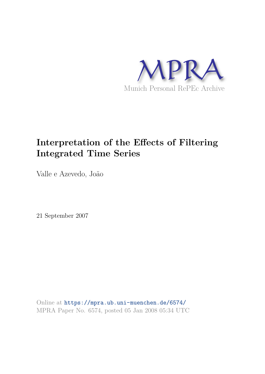

# **Interpretation of the Effects of Filtering Integrated Time Series**

Valle e Azevedo, João

21 September 2007

Online at https://mpra.ub.uni-muenchen.de/6574/ MPRA Paper No. 6574, posted 05 Jan 2008 05:34 UTC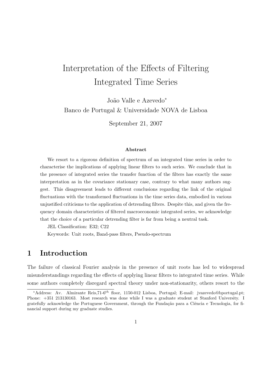# Interpretation of the Effects of Filtering Integrated Time Series

João Valle e Azevedo<sup>∗</sup> Banco de Portugal & Universidade NOVA de Lisboa

September 21, 2007

#### Abstract

We resort to a rigorous definition of spectrum of an integrated time series in order to characterise the implications of applying linear filters to such series. We conclude that in the presence of integrated series the transfer function of the filters has exactly the same interpretation as in the covariance stationary case, contrary to what many authors suggest. This disagreement leads to different conclusions regarding the link of the original fluctuations with the transformed fluctuations in the time series data, embodied in various unjustified criticisms to the application of detrending filters. Despite this, and given the frequency domain characteristics of filtered macroeconomic integrated series, we acknowledge that the choice of a particular detrending filter is far from being a neutral task.

JEL Classification: E32; C22

Keywords: Unit roots, Band-pass filters, Pseudo-spectrum

# 1 Introduction

The failure of classical Fourier analysis in the presence of unit roots has led to widespread misunderstandings regarding the effects of applying linear filters to integrated time series. While some authors completely disregard spectral theory under non-stationarity, others resort to the

<sup>\*</sup>Address: Av. Almirante Reis,71-6<sup>th</sup> floor, 1150-012 Lisboa, Portugal; E-mail: jvazevedo@bportugal.pt; Phone: +351 213130163. Most research was done while I was a graduate student at Stanford University. I gratefully acknowledge the Portuguese Government, through the Fundação para a Ciência e Tecnologia, for financial support during my graduate studies.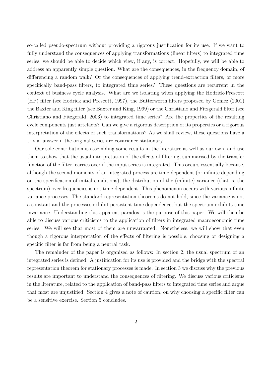so-called pseudo-spectrum without providing a rigorous justification for its use. If we want to fully understand the consequences of applying transformations (linear filters) to integrated time series, we should be able to decide which view, if any, is correct. Hopefully, we will be able to address an apparently simple question. What are the consequences, in the frequency domain, of differencing a random walk? Or the consequences of applying trend-extraction filters, or more specifically band-pass filters, to integrated time series? These questions are recurrent in the context of business cycle analysis. What are we isolating when applying the Hodrick-Prescott (HP) filter (see Hodrick and Prescott, 1997), the Butterworth filters proposed by Gomez (2001) the Baxter and King filter (see Baxter and King, 1999) or the Christiano and Fitzgerald filter (see Christiano and Fitzgerald, 2003) to integrated time series? Are the properties of the resulting cycle components just artefacts? Can we give a rigorous description of its properties or a rigorous interpretation of the effects of such transformations? As we shall review, these questions have a trivial answer if the original series are covariance-stationary.

Our sole contribution is assembling some results in the literature as well as our own, and use them to show that the usual interpretation of the effects of filtering, summarised by the transfer function of the filter, carries over if the input series is integrated. This occurs essentially because, although the second moments of an integrated process are time-dependent (or infinite depending on the specification of initial conditions), the distribution of the (infinite) variance (that is, the spectrum) over frequencies is not time-dependent. This phenomenon occurs with various infinite variance processes. The standard representation theorems do not hold, since the variance is not a constant and the processes exhibit persistent time dependence, but the spectrum exhibits time invariance. Understanding this apparent paradox is the purpose of this paper. We will then be able to discuss various criticisms to the application of filters in integrated macroeconomic time series. We will see that most of them are unwarranted. Nonetheless, we will show that even though a rigorous interpretation of the effects of filtering is possible, choosing or designing a specific filter is far from being a neutral task.

The remainder of the paper is organised as follows: In section 2, the usual spectrum of an integrated series is defined. A justification for its use is provided and the bridge with the spectral representation theorem for stationary processes is made. In section 3 we discuss why the previous results are important to understand the consequences of filtering. We discuss various criticisms in the literature, related to the application of band-pass filters to integrated time series and argue that most are unjustified. Section 4 gives a note of caution, on why choosing a specific filter can be a sensitive exercise. Section 5 concludes.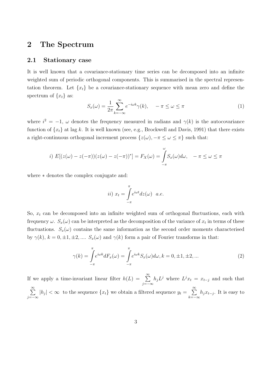## 2 The Spectrum

#### 2.1 Stationary case

It is well known that a covariance-stationary time series can be decomposed into an infinite weighted sum of periodic orthogonal components. This is summarised in the spectral representation theorem. Let  $\{x_t\}$  be a covariance-stationary sequence with mean zero and define the spectrum of  $\{x_t\}$  as:

$$
S_x(\omega) = \frac{1}{2\pi} \sum_{k=-\infty}^{\infty} e^{-i\omega k} \gamma(k), \quad -\pi \le \omega \le \pi
$$
 (1)

where  $i^2 = -1$ ,  $\omega$  denotes the frequency measured in radians and  $\gamma(k)$  is the autocovariance function of  $\{x_t\}$  at lag k. It is well known (see, e.g., Brockwell and Davis, 1991) that there exists a right-continuous orthogonal increment process  $\{z(\omega), -\pi \leq \omega \leq \pi\}$  such that:

*i)* 
$$
E[(z(\omega) - z(-\pi))(z(\omega) - z(-\pi))^*] = F_X(\omega) = \int_{-\pi}^{\omega} S_x(\omega) d\omega, \quad -\pi \le \omega \le \pi
$$

where ∗ denotes the complex conjugate and:

$$
ii) x_t = \int_{-\pi}^{\pi} e^{i\omega t} dz(\omega) \quad a.e.
$$

So,  $x_t$  can be decomposed into an infinite weighted sum of orthogonal fluctuations, each with frequency  $\omega$ .  $S_x(\omega)$  can be interpreted as the decomposition of the variance of  $x_t$  in terms of these fluctuations.  $S_x(\omega)$  contains the same information as the second order moments characterised by  $\gamma(k)$ ,  $k = 0, \pm 1, \pm 2, \dots$   $S_x(\omega)$  and  $\gamma(k)$  form a pair of Fourier transforms in that:

$$
\gamma(k) = \int_{-\pi}^{\pi} e^{i\omega k} dF_x(\omega) = \int_{-\pi}^{\pi} e^{i\omega k} S_x(\omega) d\omega, k = 0, \pm 1, \pm 2, \dots
$$
\n(2)

If we apply a time-invariant linear filter  $h(L) = \sum_{n=0}^{\infty}$ j=−∞  $h_j L^j$  where  $L^j x_t = x_{t-j}$  and such that  $\sum^{\infty}$ j=−∞  $|h_j| < \infty$  to the sequence  $\{x_t\}$  we obtain a filtered sequence  $y_t = \sum_{k=1}^{\infty}$  $k=-\infty$  $h_j x_{t-j}$ . It is easy to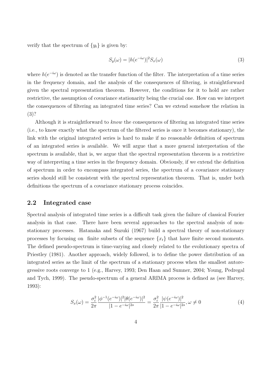verify that the spectrum of  $\{y_t\}$  is given by:

$$
S_y(\omega) = |h(e^{-i\omega})|^2 S_x(\omega)
$$
\n(3)

where  $h(e^{-i\omega})$  is denoted as the transfer function of the filter. The interpretation of a time series in the frequency domain, and the analysis of the consequences of filtering, is straightforward given the spectral representation theorem. However, the conditions for it to hold are rather restrictive, the assumption of covariance stationarity being the crucial one. How can we interpret the consequences of filtering an integrated time series? Can we extend somehow the relation in (3)?

Although it is straightforward to *know* the consequences of filtering an integrated time series (i.e., to know exactly what the spectrum of the filtered series is once it becomes stationary), the link with the original integrated series is hard to make if no reasonable definition of spectrum of an integrated series is available. We will argue that a more general interpretation of the spectrum is available, that is, we argue that the spectral representation theorem is a restrictive way of interpreting a time series in the frequency domain. Obviously, if we extend the definition of spectrum in order to encompass integrated series, the spectrum of a covariance stationary series should still be consistent with the spectral representation theorem. That is, under both definitions the spectrum of a covariance stationary process coincides.

#### 2.2 Integrated case

Spectral analysis of integrated time series is a difficult task given the failure of classical Fourier analysis in that case. There have been several approaches to the spectral analysis of nonstationary processes. Hatanaka and Suzuki (1967) build a spectral theory of non-stationary processes by focusing on finite subsets of the sequence  $\{x_t\}$  that have finite second moments. The defined pseudo-spectrum is time-varying and closely related to the evolutionary spectra of Priestley (1981). Another approach, widely followed, is to define the power distribution of an integrated series as the limit of the spectrum of a stationary process when the smallest autoregressive roots converge to 1 (e.g., Harvey, 1993; Den Haan and Sumner, 2004; Young, Pedregal and Tych, 1999). The pseudo-spectrum of a general ARIMA process is defined as (see Harvey, 1993):

$$
S_x(\omega) = \frac{\sigma_\varepsilon^2}{2\pi} \frac{|\phi^{-1}(e^{-i\omega})|^2 |\theta(e^{-i\omega})|^2}{|1 - e^{-i\omega}|^{2s}} = \frac{\sigma_\varepsilon^2}{2\pi} \frac{|\psi(e^{-i\omega})|^2}{|1 - e^{-i\omega}|^{2s}}, \omega \neq 0
$$
(4)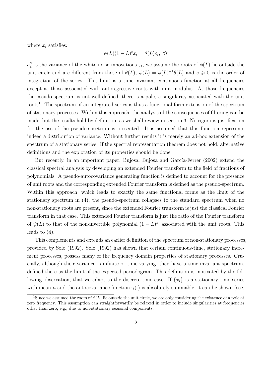where  $x_t$  satisfies:

$$
\phi(L)(1-L)^{s}x_t = \theta(L)\varepsilon_t, \ \forall t
$$

 $\sigma_{\varepsilon}^2$  $\epsilon^2$  is the variance of the white-noise innovations  $\varepsilon_t$ , we assume the roots of  $\phi(L)$  lie outside the unit circle and are different from those of  $\theta(L)$ ,  $\psi(L) = \phi(L)^{-1}\theta(L)$  and  $s \geq 0$  is the order of integration of the series. This limit is a time-invariant continuous function at all frequencies except at those associated with autoregressive roots with unit modulus. At those frequencies the pseudo-spectrum is not well-defined, there is a pole, a singularity associated with the unit roots<sup>1</sup>. The spectrum of an integrated series is thus a functional form extension of the spectrum of stationary processes. Within this approach, the analysis of the consequences of filtering can be made, but the results hold by definition, as we shall review in section 3. No rigorous justification for the use of the pseudo-spectrum is presented. It is assumed that this function represents indeed a distribution of variance. Without further results it is merely an ad-hoc extension of the spectrum of a stationary series. If the spectral representation theorem does not hold, alternative definitions and the exploration of its properties should be done.

But recently, in an important paper, Bujosa, Bujosa and García-Ferrer (2002) extend the classical spectral analysis by developing an extended Fourier transform to the field of fractions of polynomials. A pseudo-autocovariance generating function is defined to account for the presence of unit roots and the corresponding extended Fourier transform is defined as the pseudo-spectrum. Within this approach, which leads to exactly the same functional forms as the limit of the stationary spectrum in (4), the pseudo-spectrum collapses to the standard spectrum when no non-stationary roots are present, since the extended Fourier transform is just the classical Fourier transform in that case. This extended Fourier transform is just the ratio of the Fourier transform of  $\psi(L)$  to that of the non-invertible polynomial  $(1-L)^s$ , associated with the unit roots. This leads to  $(4)$ .

This complements and extends an earlier definition of the spectrum of non-stationary processes, provided by Solo (1992). Solo (1992) has shown that certain continuous-time, stationary increment processes, possess many of the frequency domain properties of stationary processes. Crucially, although their variance is infinite or time-varying, they have a time-invariant spectrum, defined there as the limit of the expected periodogram. This definition is motivated by the following observation, that we adapt to the discrete-time case. If  $\{x_t\}$  is a stationary time series with mean  $\mu$  and the autocovariance function  $\gamma(.)$  is absolutely summable, it can be shown (see,

<sup>&</sup>lt;sup>1</sup>Since we assumed the roots of  $\phi(L)$  lie outside the unit circle, we are only considering the existence of a pole at zero frequency. This assumption can straightforwardly be relaxed in order to include singularities at frequencies other than zero, e.g., due to non-stationary seasonal components.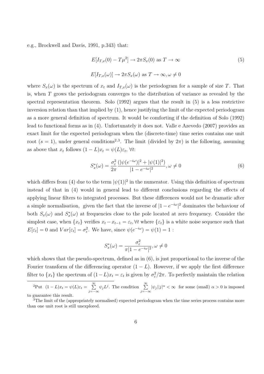e.g., Brockwell and Davis, 1991, p.343) that:

$$
E[I_{T,x}(0) - T\mu^2] \to 2\pi S_x(0) \text{ as } T \to \infty
$$
  
\n
$$
E[I_{T,x}(\omega)] \to 2\pi S_x(\omega) \text{ as } T \to \infty, \omega \neq 0
$$
\n(5)

where  $S_x(\omega)$  is the spectrum of  $x_t$  and  $I_{T,x}(\omega)$  is the periodogram for a sample of size T. That is, when T grows the periodogram converges to the distribution of variance as revealed by the spectral representation theorem. Solo (1992) argues that the result in (5) is a less restrictive inversion relation than that implied by (1), hence justifying the limit of the expected periodogram as a more general definition of spectrum. It would be comforting if the definition of Solo (1992) lead to functional forms as in (4). Unfortunately it does not. Valle e Azevedo (2007) provides an exact limit for the expected periodogram when the (discrete-time) time series contains one unit root  $(s = 1)$ , under general conditions<sup>2,3</sup>. The limit (divided by  $2\pi$ ) is the following, assuming as above that  $x_t$  follows  $(1 - L)x_t = \psi(L)\varepsilon_t$ ,  $\forall t$ :

$$
S_x^*(\omega) = \frac{\sigma_\varepsilon^2}{2\pi} \frac{(|\psi(e^{-i\omega})|^2 + |\psi(1)|^2)}{|1 - e^{-i\omega}|^2}, \omega \neq 0
$$
 (6)

which differs from (4) due to the term  $|\psi(1)|^2$  in the numerator. Using this definition of spectrum instead of that in (4) would in general lead to different conclusions regarding the effects of applying linear filters to integrated processes. But these differences would not be dramatic after a simple normalisation, given the fact that the inverse of  $|1 - e^{-i\omega}|^2$  dominates the behaviour of both  $S_x(\omega)$  and  $S_x^*$  $x(x)$  at frequencies close to the pole located at zero frequency. Consider the simplest case, when  $\{x_t\}$  verifies  $x_t - x_{t-1} = \varepsilon_t$ ,  $\forall t$  where  $\{\varepsilon_t\}$  is a white noise sequence such that  $E[\varepsilon_t] = 0$  and  $Var[\varepsilon_t] = \sigma_{\varepsilon}^2$ <sup>2</sup>/<sub>ε</sub>. We have, since  $\psi(e^{-i\omega}) = \psi(1) = 1$ :

$$
S_x^*(\omega) = \frac{\sigma_\varepsilon^2}{\pi |1 - e^{-i\omega}|^2}, \omega \neq 0
$$

which shows that the pseudo-spectrum, defined as in (6), is just proportional to the inverse of the Fourier transform of the differencing operator  $(1 - L)$ . However, if we apply the first difference filter to  $\{x_t\}$  the spectrum of  $(1-L)x_t = \varepsilon_t$  is given by  $\sigma_{\varepsilon}^2$  $\frac{2}{\varepsilon}/2\pi$ . To perfectly maintain the relation

Put  $(1-L)x_t = \psi(L)\varepsilon_t = \sum_{j=-\infty}^{\infty} \psi_j L^j$ . The condition  $\sum_{j=-\infty}^{\infty} |\psi_j||j|^\alpha < \infty$  for some (small)  $\alpha > 0$  is imposed to guarantee this result.

<sup>&</sup>lt;sup>3</sup>The limit of the (appropriately normalised) expected periodogram when the time series process contains more than one unit root is still unexplored.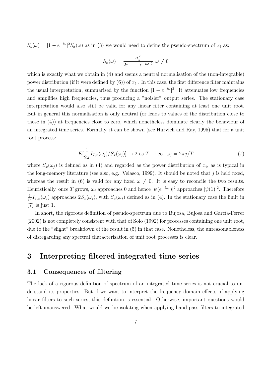$S_{\varepsilon}(\omega) = |1 - e^{-i\omega}|^2 S_{x}(\omega)$  as in (3) we would need to define the pseudo-spectrum of  $x_t$  as:

$$
S_x(\omega) = \frac{\sigma_{\varepsilon}^2}{2\pi |1 - e^{-i\omega}|^2}, \omega \neq 0
$$

which is exactly what we obtain in  $(4)$  and seems a neutral normalisation of the (non-integrable) power distribution (if it were defined by  $(6)$ ) of  $x_t$  . In this case, the first difference filter maintains the usual interpretation, summarised by the function  $|1 - e^{-i\omega}|^2$ . It attenuates low frequencies and amplifies high frequencies, thus producing a "noisier" output series. The stationary case interpretation would also still be valid for any linear filter containing at least one unit root. But in general this normalisation is only neutral (or leads to values of the distribution close to those in (4)) at frequencies close to zero, which nonetheless dominate clearly the behaviour of an integrated time series. Formally, it can be shown (see Hurvich and Ray, 1995) that for a unit root process:

$$
E[\frac{1}{2\pi}I_{T,x}(\omega_j)/S_x(\omega_j)] \to 2 \text{ as } T \to \infty, \ \omega_j = 2\pi j/T \tag{7}
$$

where  $S_x(\omega_j)$  is defined as in (4) and regarded as the power distribution of  $x_t$ , as is typical in the long-memory literature (see also, e.g., Velasco, 1999). It should be noted that  $j$  is held fixed, whereas the result in (6) is valid for any fixed  $\omega \neq 0$ . It is easy to reconcile the two results. Heuristically, once T grows,  $\omega_j$  approaches 0 and hence  $|\psi(e^{-i\omega_j})|^2$  approaches  $|\psi(1)|^2$ . Therefore 1  $\frac{1}{2\pi}I_{T,x}(\omega_j)$  approaches  $2S_x(\omega_j)$ , with  $S_x(\omega_j)$  defined as in (4). In the stationary case the limit in (7) is just 1.

In short, the rigorous definition of pseudo-spectrum due to Bujosa, Bujosa and García-Ferrer (2002) is not completely consistent with that of Solo (1992) for processes containing one unit root, due to the "slight" breakdown of the result in (5) in that case. Nonetheless, the unreasonableness of disregarding any spectral characterisation of unit root processes is clear.

# 3 Interpreting filtered integrated time series

#### 3.1 Consequences of filtering

The lack of a rigorous definition of spectrum of an integrated time series is not crucial to understand its properties. But if we want to interpret the frequency domain effects of applying linear filters to such series, this definition is essential. Otherwise, important questions would be left unanswered. What would we be isolating when applying band-pass filters to integrated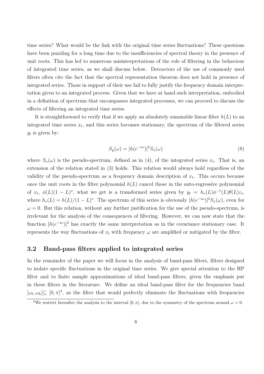time series? What would be the link with the original time series fluctuations? These questions have been puzzling for a long time due to the insufficiencies of spectral theory in the presence of unit roots. This has led to numerous misinterpretations of the role of filtering in the behaviour of integrated time series, as we shall discuss below. Detractors of the use of commonly used filters often cite the fact that the spectral representation theorem does not hold in presence of integrated series. Those in support of their use fail to fully justify the frequency domain interpretation given to an integrated process. Given that we have at hand such interpretation, embodied in a definition of spectrum that encompasses integrated processes, we can proceed to discuss the effects of filtering an integrated time series.

It is straightforward to verify that if we apply an absolutely summable linear filter  $h(L)$  to an integrated time series  $x_t$ , and this series becomes stationary, the spectrum of the filtered series  $y_t$  is given by:

$$
S_y(\omega) = |h(e^{-i\omega})|^2 S_x(\omega)
$$
\n(8)

where  $S_x(\omega)$  is the pseudo-spectrum, defined as in (4), of the integrated series  $x_t$ . That is, an extension of the relation stated in (3) holds. This relation would always hold regardless of the validity of the pseudo-spectrum as a frequency domain description of  $x_t$ . This occurs because once the unit roots in the filter polynomial  $h(L)$  cancel those in the auto-regressive polynomial of  $x_t$ ,  $\phi(L)(1-L)^s$ , what we get is a transformed series given by  $y_t = h_*(L)\phi^{-1}(L)\theta(L)\varepsilon_t$ , where  $h_*(L) = h(L)/(1-L)^s$ . The spectrum of this series is obviously  $|h(e^{-i\omega})|^2 S_x(\omega)$ , even for  $\omega = 0$ . But this relation, without any further justification for the use of the pseudo-spectrum, is irrelevant for the analysis of the consequences of filtering. However, we can now state that the function  $|h(e^{-i\omega})|^2$  has exactly the same interpretation as in the covariance stationary case. It represents the way fluctuations of  $x_t$  with frequency  $\omega$  are amplified or mitigated by the filter.

#### 3.2 Band-pass filters applied to integrated series

In the remainder of the paper we will focus in the analysis of band-pass filters, filters designed to isolate specific fluctuations in the original time series. We give special attention to the HP filter and to finite sample approximations of ideal band-pass filters, given the emphasis put in these filters in the literature. We define an ideal band-pass filter for the frequencies band  $]\omega_l, \omega_h[\subseteq [0, \pi]^4]$ , as the filter that would perfectly eliminate the fluctuations with frequencies

<sup>&</sup>lt;sup>4</sup>We restrict hereafter the analysis to the interval [0,  $\pi$ ], due to the symmetry of the spectrum around  $\omega = 0$ .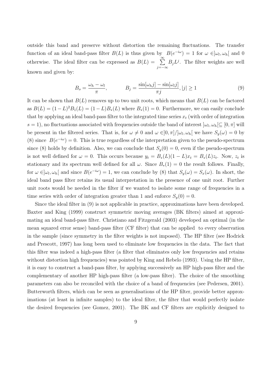outside this band and preserve without distortion the remaining fluctuations. The transfer function of an ideal band-pass filter  $B(L)$  is thus given by  $B(e^{-i\omega}) = 1$  for  $\omega \in ]\omega_l, \omega_h[$  and 0 otherwise. The ideal filter can be expressed as  $B(L) = \sum_{n=0}^{\infty}$ j=−∞  $B_j L^j$ . The filter weights are well known and given by:

$$
B_o = \frac{\omega_h - \omega_l}{\pi}, \qquad B_j = \frac{\sin[\omega_h j] - \sin[\omega_l j]}{\pi j}, |j| \ge 1
$$
\n(9)

It can be shown that  $B(L)$  removes up to two unit roots, which means that  $B(L)$  can be factored as  $B(L) = (1 - L)^2 B_1(L) = (1 - L)B_*(L)$  where  $B_*(1) = 0$ . Furthermore, we can easily conclude that by applying an ideal band-pass filter to the integrated time series  $x_t$  (with order of integration  $s = 1$ , no fluctuations associated with frequencies outside the band of interest  $\omega_l, \omega_h[\subseteq [0, \pi]$  will be present in the filtered series. That is, for  $\omega \neq 0$  and  $\omega \in ]0, \pi]/[\omega_l, \omega_h[$  we have  $S_y(\omega) = 0$  by (8) since  $B(e^{-i\omega}) = 0$ . This is true regardless of the interpretation given to the pseudo-spectrum since (8) holds by definition. Also, we can conclude that  $S_y(0) = 0$ , even if the pseudo-spectrum is not well defined for  $\omega = 0$ . This occurs because  $y_t = B_*(L)(1-L)x_t = B_*(L)z_t$ . Now,  $z_t$  is stationary and its spectrum well defined for all  $\omega$ . Since  $B_*(1) = 0$  the result follows. Finally, for  $\omega \in ]\omega_l, \omega_h[$  and since  $B(e^{-i\omega}) = 1$ , we can conclude by (8) that  $S_y(\omega) = S_x(\omega)$ . In short, the ideal band pass filter retains its usual interpretation in the presence of one unit root. Further unit roots would be needed in the filter if we wanted to isolate some range of frequencies in a time series with order of integration greater than 1 and enforce  $S_y(0) = 0$ .

Since the ideal filter in (9) is not applicable in practice, approximations have been developed. Baxter and King (1999) construct symmetric moving averages (BK filters) aimed at approximating an ideal band-pass filter. Christiano and Fitzgerald (2003) developed an optimal (in the mean squared error sense) band-pass filter (CF filter) that can be applied to every observation in the sample (since symmetry in the filter weights is not imposed). The HP filter (see Hodrick and Prescott, 1997) has long been used to eliminate low frequencies in the data. The fact that this filter was indeed a high-pass filter (a filter that eliminates only low frequencies and retains without distortion high frequencies) was pointed by King and Rebelo (1993). Using the HP filter, it is easy to construct a band-pass filter, by applying successively an HP high-pass filter and the complementary of another HP high-pass filter (a low-pass filter). The choice of the smoothing parameters can also be reconciled with the choice of a band of frequencies (see Pedersen, 2001). Butterworth filters, which can be seen as generalisations of the HP filter, provide better approximations (at least in infinite samples) to the ideal filter, the filter that would perfectly isolate the desired frequencies (see Gomez, 2001). The BK and CF filters are explicitly designed to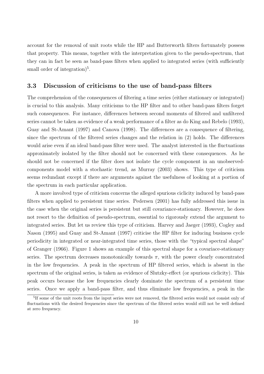account for the removal of unit roots while the HP and Butterworth filters fortunately possess that property. This means, together with the interpretation given to the pseudo-spectrum, that they can in fact be seen as band-pass filters when applied to integrated series (with sufficiently small order of integration $)^5$ .

#### 3.3 Discussion of criticisms to the use of band-pass filters

The comprehension of the consequences of filtering a time series (either stationary or integrated) is crucial to this analysis. Many criticisms to the HP filter and to other band-pass filters forget such consequences. For instance, differences between second moments of filtered and unfiltered series cannot be taken as evidence of a weak performance of a filter as do King and Rebelo (1993), Guay and St-Amant (1997) and Canova (1998). The differences are a consequence of filtering, since the spectrum of the filtered series changes and the relation in (2) holds. The differences would arise even if an ideal band-pass filter were used. The analyst interested in the fluctuations approximately isolated by the filter should not be concerned with these consequences. As he should not be concerned if the filter does not isolate the cycle component in an unobservedcomponents model with a stochastic trend, as Murray (2003) shows. This type of criticism seems redundant except if there are arguments against the usefulness of looking at a portion of the spectrum in each particular application.

A more involved type of criticism concerns the alleged spurious ciclicity induced by band-pass filters when applied to persistent time series. Pedersen (2001) has fully addressed this issue in the case when the original series is persistent but still covariance-stationary. However, he does not resort to the definition of pseudo-spectrum, essential to rigorously extend the argument to integrated series. But let us review this type of criticism. Harvey and Jaeger (1993), Cogley and Nason (1995) and Guay and St-Amant (1997) criticise the HP filter for inducing business cycle periodicity in integrated or near-integrated time series, those with the "typical spectral shape" of Granger (1966). Figure 1 shows an example of this spectral shape for a covariace-stationary series. The spectrum decreases monotonically towards  $\pi$ , with the power clearly concentrated in the low frequencies. A peak in the spectrum of HP filtered series, which is absent in the spectrum of the original series, is taken as evidence of Slutzky-effect (or spurious ciclicity). This peak occurs because the low frequencies clearly dominate the spectrum of a persistent time series. Once we apply a band-pass filter, and thus eliminate low frequencies, a peak in the

<sup>&</sup>lt;sup>5</sup>If some of the unit roots from the input series were not removed, the filtered series would not consist only of fluctuations with the desired frequencies since the spectrum of the filtered series would still not be well defined at zero frequency.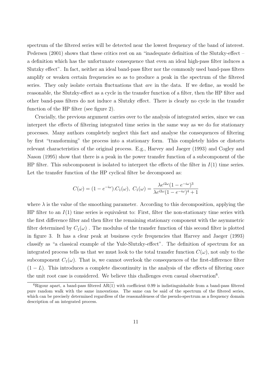spectrum of the filtered series will be detected near the lowest frequency of the band of interest. Pedersen (2001) shows that these critics rest on an "inadequate definition of the Slutzky-effect – a definition which has the unfortunate consequence that even an ideal high-pass filter induces a Slutzky effect". In fact, neither an ideal band-pass filter nor the commonly used band-pass filters amplify or weaken certain frequencies so as to produce a peak in the spectrum of the filtered series. They only isolate certain fluctuations that *are* in the data. If we define, as would be reasonable, the Slutzky-effect as a cycle in the transfer function of a filter, then the HP filter and other band-pass filters do not induce a Slutzky effect. There is clearly no cycle in the transfer function of the HP filter (see figure 2).

Crucially, the previous argument carries over to the analysis of integrated series, since we can interpret the effects of filtering integrated time series in the same way as we do for stationary processes. Many authors completely neglect this fact and analyse the consequences of filtering by first "transforming" the process into a stationary form. This completely hides or distorts relevant characteristics of the original process. E.g., Harvey and Jaeger (1993) and Cogley and Nason (1995) show that there is a peak in the power transfer function of a subcomponent of the HP filter. This subcomponent is isolated to interpret the effects of the filter in  $I(1)$  time series. Let the transfer function of the HP cyclical filter be decomposed as:

$$
C(\omega) = (1 - e^{-i\omega}).C_1(\omega), C_1(\omega) = \frac{\lambda e^{i2\omega}(1 - e^{-i\omega})^3}{\lambda e^{i2\omega}(1 - e^{-i\omega})^4 + 1}
$$

where  $\lambda$  is the value of the smoothing parameter. According to this decomposition, applying the HP filter to an  $I(1)$  time series is equivalent to: First, filter the non-stationary time series with the first difference filter and then filter the remaining stationary component with the asymmetric filter determined by  $C_1(\omega)$ . The modulus of the transfer function of this second filter is plotted in figure 3. It has a clear peak at business cycle frequencies that Harvey and Jaeger (1993) classify as "a classical example of the Yule-Slutzky-effect". The definition of spectrum for an integrated process tells us that we must look to the total transfer function  $C(\omega)$ , not only to the subcomponent  $C_1(\omega)$ . That is, we cannot overlook the consequences of the first-difference filter  $(1 - L)$ . This introduces a complete discontinuity in the analysis of the effects of filtering once the unit root case is considered. We believe this challenges even casual observation<sup>6</sup>.

 ${}^{6}$ Rigour apart, a band-pass filtered AR(1) with coefficient 0.99 is indistinguishable from a band-pass filtered pure random walk with the same innovations. The same can be said of the spectrum of the filtered series, which can be precisely determined regardless of the reasonableness of the pseudo-spectrum as a frequency domain description of an integrated process.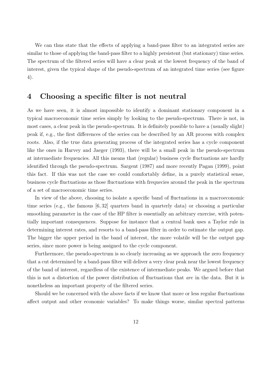We can thus state that the effects of applying a band-pass filter to an integrated series are similar to those of applying the band-pass filter to a highly persistent (but stationary) time series. The spectrum of the filtered series will have a clear peak at the lowest frequency of the band of interest, given the typical shape of the pseudo-spectrum of an integrated time series (see figure 4).

### 4 Choosing a specific filter is not neutral

As we have seen, it is almost impossible to identify a dominant stationary component in a typical macroeconomic time series simply by looking to the pseudo-spectrum. There is not, in most cases, a clear peak in the pseudo-spectrum. It is definitely possible to have a (usually slight) peak if, e.g., the first differences of the series can be described by an AR process with complex roots. Also, if the true data generating process of the integrated series has a cycle component like the ones in Harvey and Jaeger (1993), there will be a small peak in the pseudo-spectrum at intermediate frequencies. All this means that (regular) business cycle fluctuations are hardly identified through the pseudo-spectrum. Sargent (1987) and more recently Pagan (1999), point this fact. If this was not the case we could comfortably define, in a purely statistical sense, business cycle fluctuations as those fluctuations with frequecies around the peak in the spectrum of a set of macroeconomic time series.

In view of the above, choosing to isolate a specific band of fluctuations in a macroeconomic time series (e.g., the famous [6, 32] quarters band in quarterly data) or choosing a particular smoothing parameter in the case of the HP filter is essentially an arbitrary exercise, with potentially important consequences. Suppose for instance that a central bank uses a Taylor rule in determining interest rates, and resorts to a band-pass filter in order to estimate the output gap. The bigger the upper period in the band of interest, the more volatile will be the output gap series, since more power is being assigned to the cycle component.

Furthermore, the pseudo-spectrum is so clearly increasing as we approach the zero frequency that a cut determined by a band-pass filter will deliver a very clear peak near the lowest frequency of the band of interest, regardless of the existence of intermediate peaks. We argued before that this is not a distortion of the power distribution of fluctuations that *are* in the data. But it is nonetheless an important property of the filtered series.

Should we be concerned with the above facts if we know that more or less regular fluctuations affect output and other economic variables? To make things worse, similar spectral patterns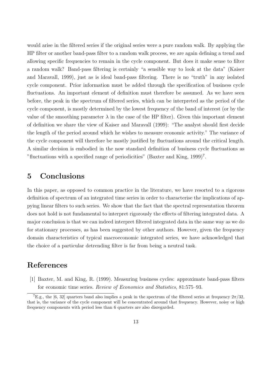would arise in the filtered series if the original series were a pure random walk. By applying the HP filter or another band-pass filter to a random walk process, we are again defining a trend and allowing specific frequencies to remain in the cycle component. But does it make sense to filter a random walk? Band-pass filtering is certainly "a sensible way to look at the data" (Kaiser and Maravall, 1999), just as is ideal band-pass filtering. There is no "truth" in any isolated cycle component. Prior information must be added through the specification of business cycle fluctuations. An important element of definition must therefore be assumed. As we have seen before, the peak in the spectrum of filtered series, which can be interpreted as the period of the cycle component, is mostly determined by the lowest frequency of the band of interest (or by the value of the smoothing parameter  $\lambda$  in the case of the HP filter). Given this important element of definition we share the view of Kaiser and Maravall (1999): "The analyst should first decide the length of the period around which he wishes to measure economic activity." The variance of the cycle component will therefore be mostly justified by fluctuations around the critical length. A similar decision is embodied in the now standard definition of business cycle fluctuations as "fluctuations with a specified range of periodicities" (Baxter and King,  $1999$ )<sup>7</sup>.

## 5 Conclusions

In this paper, as opposed to common practice in the literature, we have resorted to a rigorous definition of spectrum of an integrated time series in order to characterise the implications of appying linear filters to such series. We show that the fact that the spectral representation theorem does not hold is not fundamental to interpret rigorously the effects of filtering integrated data. A major conclusion is that we can indeed interpret filtered integrated data in the same way as we do for stationary processes, as has been suggested by other authors. However, given the frequency domain characteristics of typical macroeconomic integrated series, we have acknowledged that the choice of a particular detrending filter is far from being a neutral task.

### References

[1] Baxter, M. and King, R. (1999). Measuring business cycles: approximate band-pass filters for economic time series. *Review of Economics and Statistics*, 81:575–93.

<sup>&</sup>lt;sup>7</sup>E.g., the [6, 32] quarters band also implies a peak in the spectrum of the filtered series at frequency  $2\pi/32$ , that is, the variance of the cycle component will be concentrated around that frequency. However, noisy or high frequency components with period less than 6 quarters are also disregarded.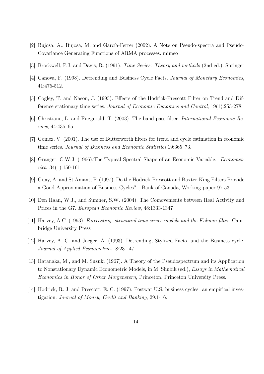- [2] Bujosa, A., Bujosa, M. and García-Ferrer (2002). A Note on Pseudo-spectra and Pseudo-Covariance Generating Functions of ARMA processes. mimeo
- [3] Brockwell, P.J. and Davis, R. (1991). *Time Series: Theory and methods* (2nd ed.). Springer
- [4] Canova, F. (1998). Detrending and Business Cycle Facts. *Journal of Monetary Economics*, 41:475-512.
- [5] Cogley, T. and Nason, J. (1995). Effects of the Hodrick-Prescott Filter on Trend and Difference stationary time series. *Journal of Economic Dynamics and Control*, 19(1):253-278.
- [6] Christiano, L. and Fitzgerald, T. (2003). The band-pass filter. *International Economic Review*, 44:435–65.
- [7] Gomez, V. (2001). The use of Butterworth filters for trend and cycle estimation in economic time series. *Journal of Business and Economic Statistics*,19:365–73.
- [8] Granger, C.W.J. (1966).The Typical Spectral Shape of an Economic Variable, *Econometrica*, 34(1):150-161
- [9] Guay, A. and St Amant, P. (1997). Do the Hodrick-Prescott and Baxter-King Filters Provide a Good Approximation of Business Cycles? . Bank of Canada, Working paper 97-53
- [10] Den Haan, W.J., and Sumner, S.W. (2004). The Comovements between Real Activity and Prices in the G7. *European Economic Review*, 48:1333-1347
- [11] Harvey, A.C. (1993). *Forecasting, structural time series models and the Kalman filter*. Cambridge University Press
- [12] Harvey, A. C. and Jaeger, A. (1993). Detrending, Stylized Facts, and the Business cycle. *Journal of Applied Econometrics*, 8:231-47
- [13] Hatanaka, M., and M. Suzuki (1967). A Theory of the Pseudospectrum and its Application to Nonstationary Dynamic Econometric Models, in M. Shubik (ed.), *Essays in Mathematical Economics in Honor of Oskar Morgenstern*, Princeton, Princeton University Press.
- [14] Hodrick, R. J. and Prescott, E. C. (1997). Postwar U.S. business cycles: an empirical investigation. *Journal of Money, Credit and Banking*, 29:1-16.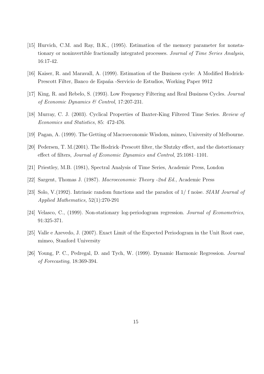- [15] Hurvich, C.M. and Ray, B.K., (1995). Estimation of the memory parameter for nonstationary or noninvertible fractionally integrated processes. *Journal of Time Series Analysis*, 16:17-42.
- [16] Kaiser, R. and Maravall, A. (1999). Estimation of the Business cycle: A Modified Hodrick-Prescott Filter, Banco de España -Servicio de Estudios, Working Paper 9912
- [17] King, R. and Rebelo, S. (1993). Low Frequency Filtering and Real Business Cycles. *Journal of Economic Dynamics & Control*, 17:207-231.
- [18] Murray, C. J. (2003). Cyclical Properties of Baxter-King Filtered Time Series. *Review of Economics and Statistics*, 85: 472-476.
- [19] Pagan, A. (1999). The Getting of Macroeconomic Wisdom, mimeo, University of Melbourne.
- [20] Pedersen, T. M.(2001). The Hodrick–Prescott filter, the Slutzky effect, and the distortionary effect of filters, *Journal of Economic Dynamics and Control*, 25:1081–1101.
- [21] Priestley, M.B. (1981), Spectral Analysis of Time Series, Academic Press, London
- [22] Sargent, Thomas J. (1987). *Macroeconomic Theory -2nd Ed.*, Academic Press
- [23] Solo, V.(1992). Intrinsic random functions and the paradox of 1/ f noise. *SIAM Journal of Applied Mathematics,* 52(1):270-291
- [24] Velasco, C., (1999). Non-stationary log-periodogram regression. *Journal of Econometrics*, 91:325-371.
- [25] Valle e Azevedo, J. (2007). Exact Limit of the Expected Periodogram in the Unit Root case, mimeo, Stanford University
- [26] Young, P. C., Pedregal, D. and Tych, W. (1999). Dynamic Harmonic Regression. *Journal of Forecasting*, 18:369-394.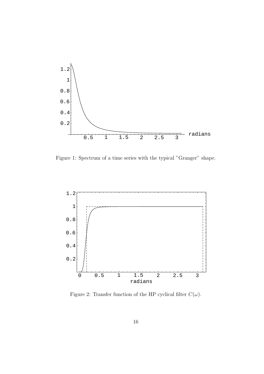

Figure 1: Spectrum of a time series with the typical "Granger" shape.



Figure 2: Transfer function of the HP cyclical filter  $C(\omega)$ .